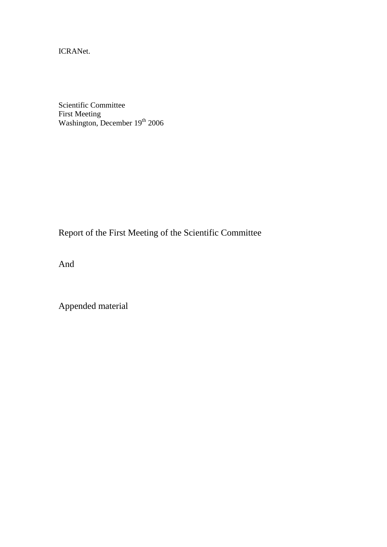ICRANet.

Scientific Committee First Meeting Washington, December 19<sup>th</sup> 2006

Report of the First Meeting of the Scientific Committee

And

Appended material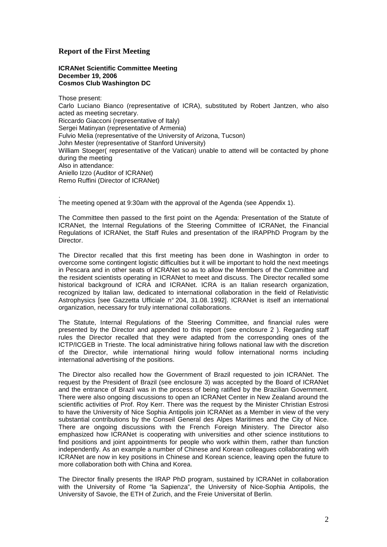#### **Report of the First Meeting**

**ICRANet Scientific Committee Meeting December 19, 2006 Cosmos Club Washington DC**

Those present: Carlo Luciano Bianco (representative of ICRA), substituted by Robert Jantzen, who also acted as meeting secretary. Riccardo Giacconi (representative of Italy) Sergei Matinyan (representative of Armenia) Fulvio Melia (representative of the University of Arizona, Tucson) John Mester (representative of Stanford University) William Stoeger( representative of the Vatican) unable to attend will be contacted by phone during the meeting Also in attendance: Aniello Izzo (Auditor of ICRANet) Remo Ruffini (Director of ICRANet)

. The meeting opened at 9:30am with the approval of the Agenda (see Appendix 1).

The Committee then passed to the first point on the Agenda: Presentation of the Statute of ICRANet, the Internal Regulations of the Steering Committee of ICRANet, the Financial Regulations of ICRANet, the Staff Rules and presentation of the IRAPPhD Program by the Director.

The Director recalled that this first meeting has been done in Washington in order to overcome some contingent logistic difficulties but it will be important to hold the next meetings in Pescara and in other seats of ICRANet so as to allow the Members of the Committee and the resident scientists operating in ICRANet to meet and discuss. The Director recalled some historical background of ICRA and ICRANet. ICRA is an Italian research organization, recognized by Italian law, dedicated to international collaboration in the field of Relativistic Astrophysics [see Gazzetta Ufficiale n° 204, 31.08. 1992]. ICRANet is itself an international organization, necessary for truly international collaborations.

The Statute, Internal Regulations of the Steering Committee, and financial rules were presented by the Director and appended to this report (see enclosure 2 ). Regarding staff rules the Director recalled that they were adapted from the corresponding ones of the ICTP/ICGEB in Trieste. The local administrative hiring follows national law with the discretion of the Director, while international hiring would follow international norms including international advertising of the positions.

The Director also recalled how the Government of Brazil requested to join ICRANet. The request by the President of Brazil (see enclosure 3) was accepted by the Board of ICRANet and the entrance of Brazil was in the process of being ratified by the Brazilian Government. There were also ongoing discussions to open an ICRANet Center in New Zealand around the scientific activities of Prof. Roy Kerr. There was the request by the Minister Christian Estrosi to have the University of Nice Sophia Antipolis join ICRANet as a Member in view of the very substantial contributions by the Conseil General des Alpes Maritimes and the City of Nice. There are ongoing discussions with the French Foreign Ministery. The Director also emphasized how ICRANet is cooperating with universities and other science institutions to find positions and joint appointments for people who work within them, rather than function independently. As an example a number of Chinese and Korean colleagues collaborating with ICRANet are now in key positions in Chinese and Korean science, leaving open the future to more collaboration both with China and Korea.

The Director finally presents the IRAP PhD program, sustained by ICRANet in collaboration with the University of Rome "la Sapienza", the University of Nice-Sophia Antipolis, the University of Savoie, the ETH of Zurich, and the Freie Universitat of Berlin.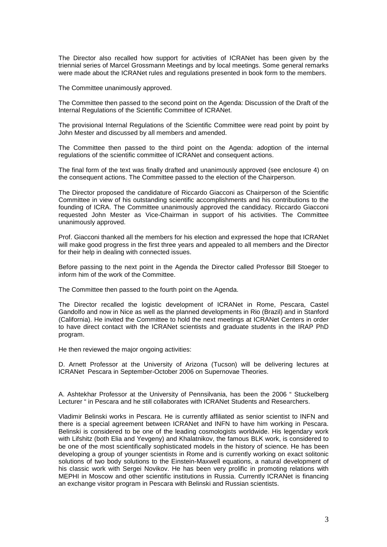The Director also recalled how support for activities of ICRANet has been given by the triennial series of Marcel Grossmann Meetings and by local meetings. Some general remarks were made about the ICRANet rules and regulations presented in book form to the members.

The Committee unanimously approved.

The Committee then passed to the second point on the Agenda: Discussion of the Draft of the Internal Regulations of the Scientific Committee of ICRANet.

The provisional Internal Regulations of the Scientific Committee were read point by point by John Mester and discussed by all members and amended.

The Committee then passed to the third point on the Agenda: adoption of the internal regulations of the scientific committee of ICRANet and consequent actions.

The final form of the text was finally drafted and unanimously approved (see enclosure 4) on the consequent actions. The Committee passed to the election of the Chairperson.

The Director proposed the candidature of Riccardo Giacconi as Chairperson of the Scientific Committee in view of his outstanding scientific accomplishments and his contributions to the founding of ICRA. The Committee unanimously approved the candidacy. Riccardo Giacconi requested John Mester as Vice-Chairman in support of his activities. The Committee unanimously approved.

Prof. Giacconi thanked all the members for his election and expressed the hope that ICRANet will make good progress in the first three years and appealed to all members and the Director for their help in dealing with connected issues.

Before passing to the next point in the Agenda the Director called Professor Bill Stoeger to inform him of the work of the Committee.

The Committee then passed to the fourth point on the Agenda.

The Director recalled the logistic development of ICRANet in Rome, Pescara, Castel Gandolfo and now in Nice as well as the planned developments in Rio (Brazil) and in Stanford (California). He invited the Committee to hold the next meetings at ICRANet Centers in order to have direct contact with the ICRANet scientists and graduate students in the IRAP PhD program.

He then reviewed the major ongoing activities:

D. Arnett Professor at the University of Arizona (Tucson) will be delivering lectures at ICRANet Pescara in September-October 2006 on Supernovae Theories.

A. Ashtekhar Professor at the University of Pennsilvania, has been the 2006 " Stuckelberg Lecturer " in Pescara and he still collaborates with ICRANet Students and Researchers.

Vladimir Belinski works in Pescara. He is currently affiliated as senior scientist to INFN and there is a special agreement between ICRANet and INFN to have him working in Pescara. Belinski is considered to be one of the leading cosmologists worldwide. His legendary work with Lifshitz (both Elia and Yevgeny) and Khalatnikov, the famous BLK work, is considered to be one of the most scientifically sophisticated models in the history of science. He has been developing a group of younger scientists in Rome and is currently working on exact solitonic solutions of two body solutions to the Einstein-Maxwell equations, a natural development of his classic work with Sergei Novikov. He has been very prolific in promoting relations with MEPHI in Moscow and other scientific institutions in Russia. Currently ICRANet is financing an exchange visitor program in Pescara with Belinski and Russian scientists.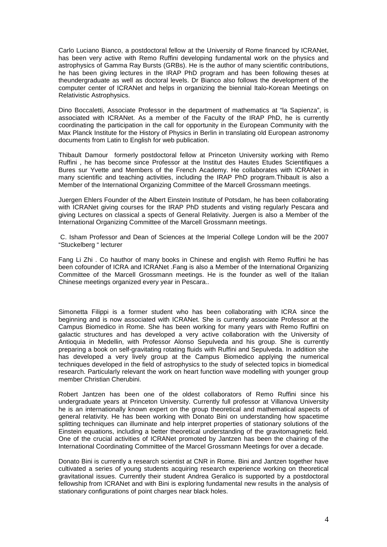Carlo Luciano Bianco, a postdoctoral fellow at the University of Rome financed by ICRANet, has been very active with Remo Ruffini developing fundamental work on the physics and astrophysics of Gamma Ray Bursts (GRBs). He is the author of many scientific contributions, he has been giving lectures in the IRAP PhD program and has been following theses at theundergraduate as well as doctoral levels. Dr Bianco also follows the development of the computer center of ICRANet and helps in organizing the biennial Italo-Korean Meetings on Relativistic Astrophysics.

Dino Boccaletti, Associate Professor in the department of mathematics at "la Sapienza", is associated with ICRANet. As a member of the Faculty of the IRAP PhD, he is currently coordinating the participation in the call for opportunity in the European Community with the Max Planck Institute for the History of Physics in Berlin in translating old European astronomy documents from Latin to English for web publication.

Thibault Damour formerly postdoctoral fellow at Princeton University working with Remo Ruffini , he has become since Professor at the Institut des Hautes Etudes Scientifiques a Bures sur Yvette and Members of the French Academy. He collaborates with ICRANet in many scientific and teaching activities, including the IRAP PhD program.Thibault is also a Member of the International Organizing Committee of the Marcell Grossmann meetings.

Juergen Ehlers Founder of the Albert Einstein Institute of Potsdam, he has been collaborating with ICRANet giving courses for the IRAP PhD students and visting regularly Pescara and giving Lectures on classical a spects of General Relativity. Juergen is also a Member of the International Organizing Committee of the Marcell Grossmann meetings.

 C. Isham Professor and Dean of Sciences at the Imperial College London will be the 2007 "Stuckelberg " lecturer

Fang Li Zhi . Co hauthor of many books in Chinese and english with Remo Ruffini he has been cofounder of ICRA and ICRANet .Fang is also a Member of the International Organizing Committee of the Marcell Grossmann meetings. He is the founder as well of the Italian Chinese meetings organized every year in Pescara..

Simonetta Filippi is a former student who has been collaborating with ICRA since the beginning and is now associated with ICRANet. She is currently associate Professor at the Campus Biomedico in Rome. She has been working for many years with Remo Ruffini on galactic structures and has developed a very active collaboration with the University of Antioquia in Medellin, with Professor Alonso Sepulveda and his group. She is currently preparing a book on self-gravitating rotating fluids with Ruffini and Sepulveda. In addition she has developed a very lively group at the Campus Biomedico applying the numerical techniques developed in the field of astrophysics to the study of selected topics in biomedical research. Particularly relevant the work on heart function wave modelling with younger group member Christian Cherubini.

Robert Jantzen has been one of the oldest collaborators of Remo Ruffini since his undergraduate years at Princeton University. Currently full professor at Villanova University he is an internationally known expert on the group theoretical and mathematical aspects of general relativity. He has been working with Donato Bini on understanding how spacetime splitting techniques can illuminate and help interpret properties of stationary solutions of the Einstein equations, including a better theoretical understanding of the gravitomagnetic field. One of the crucial activities of ICRANet promoted by Jantzen has been the chairing of the International Coordinating Committee of the Marcel Grossmann Meetings for over a decade.

Donato Bini is currently a research scientist at CNR in Rome. Bini and Jantzen together have cultivated a series of young students acquiring research experience working on theoretical gravitational issues. Currently their student Andrea Geralico is supported by a postdoctoral fellowship from ICRANet and with Bini is exploring fundamental new results in the analysis of stationary configurations of point charges near black holes.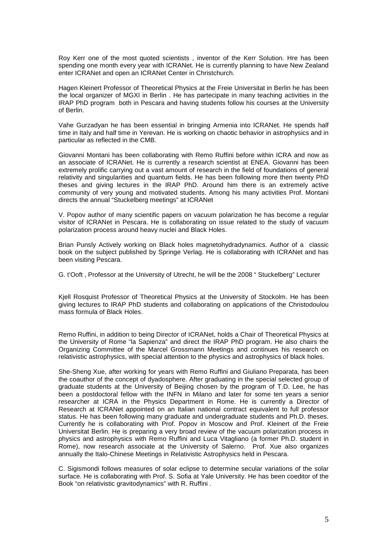Roy Kerr one of the most quoted scientists , inventor of the Kerr Solution. Hre has been spending one month every year with ICRANet. He is currently planning to have New Zealand enter ICRANet and open an ICRANet Center in Christchurch.

Hagen Kleinert Professor of Theoretical Physics at the Freie Universitat in Berlin he has been the local organizer of MGXI in Berlin . He has partecipate in many teaching activities in the IRAP PhD program both in Pescara and having students follow his courses at the University of Berlin.

Vahe Gurzadyan he has been essential in bringing Armenia into ICRANet. He spends half time in Italy and half time in Yerevan. He is working on chaotic behavior in astrophysics and in particular as reflected in the CMB.

Giovanni Montani has been collaborating with Remo Ruffini before within ICRA and now as an associate of ICRANet. He is currently a research scientist at ENEA. Giovanni has been extremely prolific carrying out a vast amount of research in the field of foundations of general relativity and singularities and quantum fields. He has been following more then twenty PhD theses and giving lectures in the IRAP PhD. Around him there is an extremely active community of very young and motivated students. Among his many activities Prof. Montani directs the annual "Stuckelberg meetings" at ICRANet

V. Popov author of many scientific papers on vacuum polarization he has become a regular visitor of ICRANet in Pescara. He is collaborating on issue related to the study of vacuum polarization process around heavy nuclei and Black Holes.

Brian Punsly Actively working on Black holes magnetohydradynamics. Author of a classic book on the subject published by Springe Verlag. He is collaborating with ICRANet and has been visiting Pescara.

G. t'Ooft , Professor at the University of Utrecht, he will be the 2008 " Stuckelberg" Lecturer

Kjell Rosquist Professor of Theoretical Physics at the University of Stockolm. He has been giving lectures to IRAP PhD students and collaborating on applications of the Christodoulou mass formula of Black Holes.

Remo Ruffini, in addition to being Director of ICRANet, holds a Chair of Theoretical Physics at the University of Rome "la Sapienza" and direct the IRAP PhD program. He also chairs the Organizing Committee of the Marcel Grossmann Meetings and continues his research on relativistic astrophysics, with special attention to the physics and astrophysics of black holes.

She-Sheng Xue, after working for years with Remo Ruffini and Giuliano Preparata, has been the coauthor of the concept of dyadosphere. After graduating in the special selected group of graduate students at the University of Beijing chosen by the program of T.D. Lee, he has been a postdoctoral fellow with the INFN in Milano and later for some ten years a senior researcher at ICRA in the Physics Department in Rome. He is currently a Director of Research at ICRANet appointed on an Italian national contract equivalent to full professor status. He has been following many graduate and undergraduate students and Ph.D. theses. Currently he is collaborating with Prof. Popov in Moscow and Prof. Kleinert of the Freie Universitat Berlin. He is preparing a very broad review of the vacuum polarization process in physics and astrophysics with Remo Ruffini and Luca Vitagliano (a former Ph.D. student in Rome), now research associate at the University of Salerno. Prof. Xue also organizes annually the Italo-Chinese Meetings in Relativistic Astrophysics held in Pescara.

C. Sigismondi follows measures of solar eclipse to determine secular variations of the solar surface. He is collaborating with Prof. S. Sofia at Yale University. He has been coeditor of the Book "on relativistic gravitodynamics" with R. Ruffini .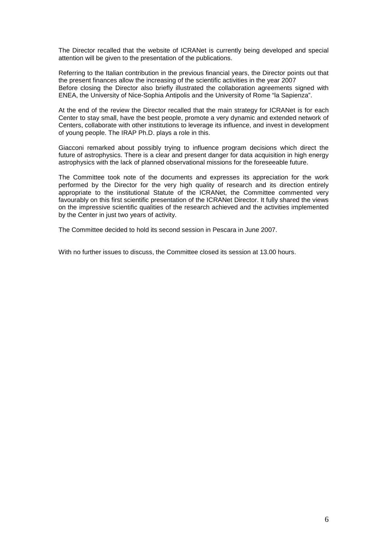The Director recalled that the website of ICRANet is currently being developed and special attention will be given to the presentation of the publications.

Referring to the Italian contribution in the previous financial years, the Director points out that the present finances allow the increasing of the scientific activities in the year 2007 Before closing the Director also briefly illustrated the collaboration agreements signed with ENEA, the University of Nice-Sophia Antipolis and the University of Rome "la Sapienza".

At the end of the review the Director recalled that the main strategy for ICRANet is for each Center to stay small, have the best people, promote a very dynamic and extended network of Centers, collaborate with other institutions to leverage its influence, and invest in development of young people. The IRAP Ph.D. plays a role in this.

Giacconi remarked about possibly trying to influence program decisions which direct the future of astrophysics. There is a clear and present danger for data acquisition in high energy astrophysics with the lack of planned observational missions for the foreseeable future.

The Committee took note of the documents and expresses its appreciation for the work performed by the Director for the very high quality of research and its direction entirely appropriate to the institutional Statute of the ICRANet, the Committee commented very favourably on this first scientific presentation of the ICRANet Director. It fully shared the views on the impressive scientific qualities of the research achieved and the activities implemented by the Center in just two years of activity.

The Committee decided to hold its second session in Pescara in June 2007.

With no further issues to discuss, the Committee closed its session at 13.00 hours.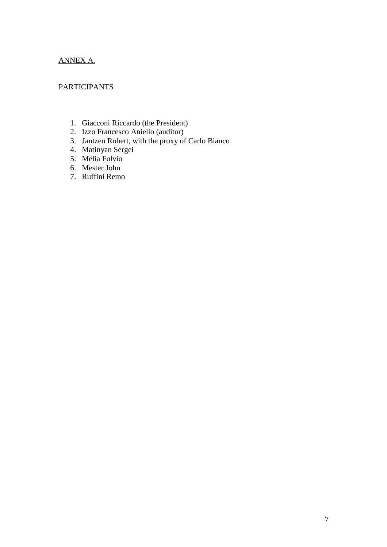# ANNEX A.

### PARTICIPANTS

- 1. Giacconi Riccardo (the President)
- 2. Izzo Francesco Aniello (auditor)
- 3. Jantzen Robert, with the proxy of Carlo Bianco
- 4. Matinyan Sergei
- 5. Melia Fulvio
- 6. Mester John
- 7. Ruffini Remo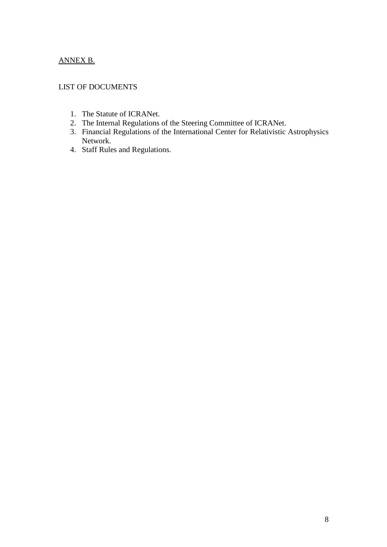# ANNEX B.

#### LIST OF DOCUMENTS

- 1. The Statute of ICRANet.
- 2. The Internal Regulations of the Steering Committee of ICRANet.
- 3. Financial Regulations of the International Center for Relativistic Astrophysics Network.
- 4. Staff Rules and Regulations.